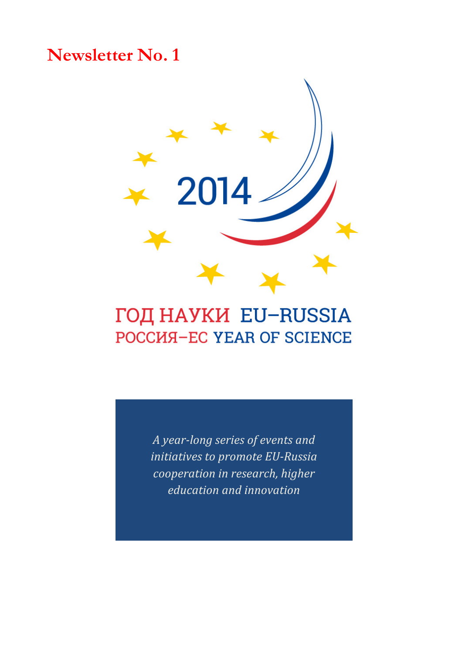## **Newsletter No. 1**



# ГОД НАУКИ EU-RUSSIA **РОССИЯ-ЕС YEAR OF SCIENCE**

*A year-long series of events and initiatives to promote EU-Russia cooperation in research, higher education and innovation*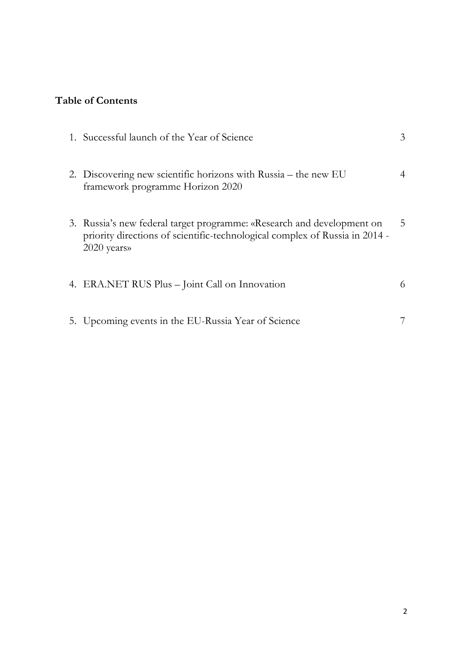### **Table of Contents**

| 1. Successful launch of the Year of Science                                                                                                                          | 3              |
|----------------------------------------------------------------------------------------------------------------------------------------------------------------------|----------------|
| 2. Discovering new scientific horizons with Russia – the new EU<br>framework programme Horizon 2020                                                                  | $\overline{4}$ |
| 3. Russia's new federal target programme: «Research and development on<br>priority directions of scientific-technological complex of Russia in 2014 -<br>2020 years» | 5              |
| 4. ERA.NET RUS Plus – Joint Call on Innovation                                                                                                                       | 6              |
| 5. Upcoming events in the EU-Russia Year of Science                                                                                                                  | 7              |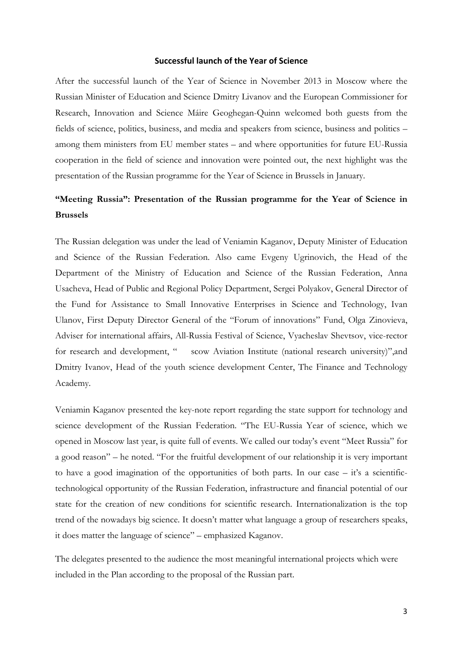#### **Successful launch of the Year of Science**

After the successful launch of the Year of Science in November 2013 in Moscow where the Russian Minister of Education and Science Dmitry Livanov and the European Commissioner for Research, Innovation and Science Máire Geoghegan-Quinn welcomed both guests from the fields of science, politics, business, and media and speakers from science, business and politics – among them ministers from EU member states – and where opportunities for future EU-Russia cooperation in the field of science and innovation were pointed out, the next highlight was the presentation of the Russian programme for the Year of Science in Brussels in January.

### **"Meeting Russia": Presentation of the Russian programme for the Year of Science in Brussels**

The Russian delegation was under the lead of Veniamin Kaganov, Deputy Minister of Education and Science of the Russian Federation. Also came Evgeny Ugrinovich, the Head of the Department of the Ministry of Education and Science of the Russian Federation, Anna Usacheva, Head of Public and Regional Policy Department, Sergei Polyakov, General Director of the Fund for Assistance to Small Innovative Enterprises in Science and Technology, Ivan Ulanov, First Deputy Director General of the "Forum of innovations" Fund, Olga Zinovieva, Adviser for international affairs, All-Russia Festival of Science, Vyacheslav Shevtsov, vice-rector for research and development, "scow Aviation Institute (national research university)",and Dmitry Ivanov, Head of the youth science development Center, The Finance and Technology Academy.

Veniamin Kaganov presented the key-note report regarding the state support for technology and science development of the Russian Federation. "The EU-Russia Year of science, which we opened in Moscow last year, is quite full of events. We called our today's event "Meet Russia" for a good reason" – he noted. "For the fruitful development of our relationship it is very important to have a good imagination of the opportunities of both parts. In our case – it's a scientifictechnological opportunity of the Russian Federation, infrastructure and financial potential of our state for the creation of new conditions for scientific research. Internationalization is the top trend of the nowadays big science. It doesn't matter what language a group of researchers speaks, it does matter the language of science" – emphasized Kaganov.

The delegates presented to the audience the most meaningful international projects which were included in the Plan according to the proposal of the Russian part.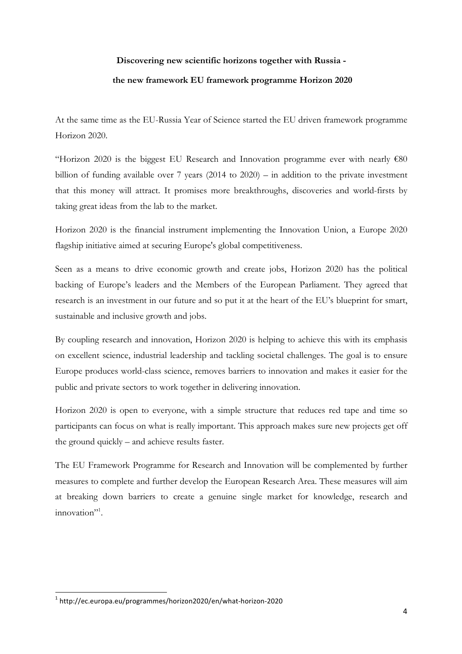### **Discovering new scientific horizons together with Russia the new framework EU framework programme Horizon 2020**

At the same time as the EU-Russia Year of Science started the EU driven framework programme Horizon 2020.

"Horizon 2020 is the biggest EU Research and Innovation programme ever with nearly  $\epsilon$ 80 billion of funding available over 7 years (2014 to 2020) – in addition to the private investment that this money will attract. It promises more breakthroughs, discoveries and world-firsts by taking great ideas from the lab to the market.

Horizon 2020 is the financial instrument implementing the Innovation Union, a Europe 2020 flagship initiative aimed at securing Europe's global competitiveness.

Seen as a means to drive economic growth and create jobs, Horizon 2020 has the political backing of Europe's leaders and the Members of the European Parliament. They agreed that research is an investment in our future and so put it at the heart of the EU's blueprint for smart, sustainable and inclusive growth and jobs.

By coupling research and innovation, Horizon 2020 is helping to achieve this with its emphasis on excellent science, industrial leadership and tackling societal challenges. The goal is to ensure Europe produces world-class science, removes barriers to innovation and makes it easier for the public and private sectors to work together in delivering innovation.

Horizon 2020 is open to everyone, with a simple structure that reduces red tape and time so participants can focus on what is really important. This approach makes sure new projects get off the ground quickly – and achieve results faster.

The EU Framework Programme for Research and Innovation will be complemented by further measures to complete and further develop the European Research Area. These measures will aim at breaking down barriers to create a genuine single market for knowledge, research and innovation"<sup>1</sup>.

<u> 1989 - Jan Samuel Barbara, político establecido de la provincia de la provincia de la provincia de la provinci</u>

<sup>1</sup> http://ec.europa.eu/programmes/horizon2020/en/what-horizon-2020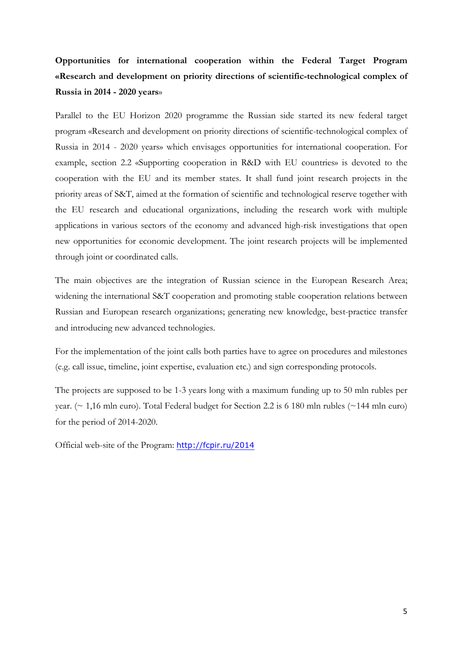### **Opportunities for international cooperation within the Federal Target Program «Research and development on priority directions of scientific-technological complex of Russia in 2014 - 2020 years**»

Parallel to the EU Horizon 2020 programme the Russian side started its new federal target program «Research and development on priority directions of scientific-technological complex of Russia in 2014 - 2020 years» which envisages opportunities for international cooperation. For example, section 2.2 «Supporting cooperation in R&D with EU countries» is devoted to the cooperation with the EU and its member states. It shall fund joint research projects in the priority areas of S&T, aimed at the formation of scientific and technological reserve together with the EU research and educational organizations, including the research work with multiple applications in various sectors of the economy and advanced high-risk investigations that open new opportunities for economic development. The joint research projects will be implemented through joint or coordinated calls.

The main objectives are the integration of Russian science in the European Research Area; widening the international S&T cooperation and promoting stable cooperation relations between Russian and European research organizations; generating new knowledge, best-practice transfer and introducing new advanced technologies.

For the implementation of the joint calls both parties have to agree on procedures and milestones (e.g. call issue, timeline, joint expertise, evaluation etc.) and sign corresponding protocols.

The projects are supposed to be 1-3 years long with a maximum funding up to 50 mln rubles per year. ( $\sim$  1,16 mln euro). Total Federal budget for Section 2.2 is 6 180 mln rubles ( $\sim$  144 mln euro) for the period of 2014-2020.

Official web-site of the Program: http://fcpir.ru/2014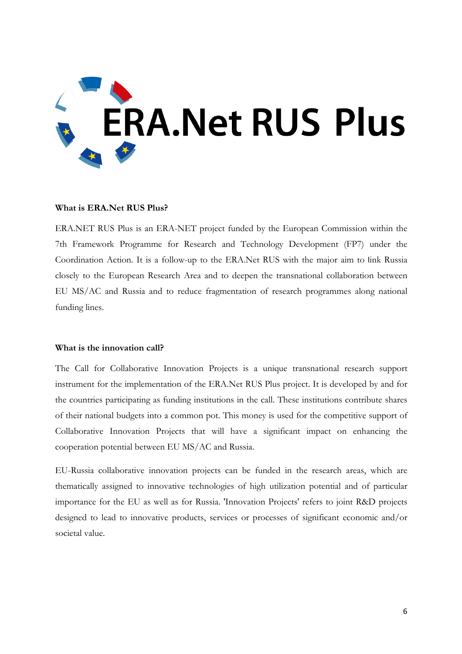

#### **What is ERA.Net RUS Plus?**

ERA.NET RUS Plus is an ERA-NET project funded by the European Commission within the 7th Framework Programme for Research and Technology Development (FP7) under the Coordination Action. It is a follow-up to the ERA.Net RUS with the major aim to link Russia closely to the European Research Area and to deepen the transnational collaboration between EU MS/AC and Russia and to reduce fragmentation of research programmes along national funding lines.

#### **What is the innovation call?**

The Call for Collaborative Innovation Projects is a unique transnational research support instrument for the implementation of the ERA.Net RUS Plus project. It is developed by and for the countries participating as funding institutions in the call. These institutions contribute shares of their national budgets into a common pot. This money is used for the competitive support of Collaborative Innovation Projects that will have a significant impact on enhancing the cooperation potential between EU MS/AC and Russia.

EU-Russia collaborative innovation projects can be funded in the research areas, which are thematically assigned to innovative technologies of high utilization potential and of particular importance for the EU as well as for Russia. 'Innovation Projects' refers to joint R&D projects designed to lead to innovative products, services or processes of significant economic and/or societal value.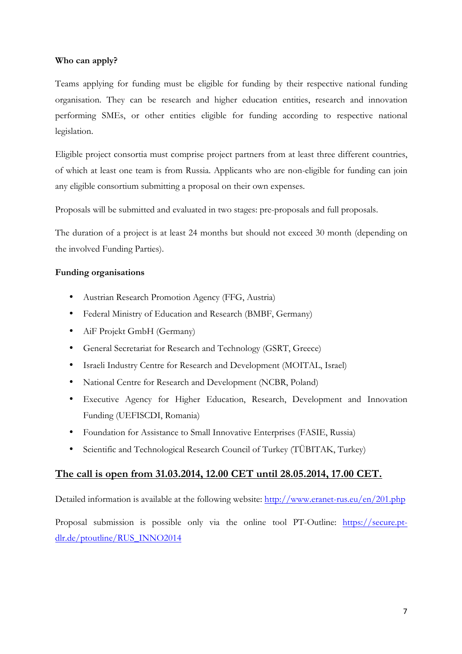#### **Who can apply?**

Teams applying for funding must be eligible for funding by their respective national funding organisation. They can be research and higher education entities, research and innovation performing SMEs, or other entities eligible for funding according to respective national legislation.

Eligible project consortia must comprise project partners from at least three different countries, of which at least one team is from Russia. Applicants who are non-eligible for funding can join any eligible consortium submitting a proposal on their own expenses.

Proposals will be submitted and evaluated in two stages: pre-proposals and full proposals.

The duration of a project is at least 24 months but should not exceed 30 month (depending on the involved Funding Parties).

#### **Funding organisations**

- Austrian Research Promotion Agency (FFG, Austria)
- Federal Ministry of Education and Research (BMBF, Germany)
- AiF Projekt GmbH (Germany)
- General Secretariat for Research and Technology (GSRT, Greece)
- Israeli Industry Centre for Research and Development (MOITAL, Israel)
- National Centre for Research and Development (NCBR, Poland)
- Executive Agency for Higher Education, Research, Development and Innovation Funding (UEFISCDI, Romania)
- Foundation for Assistance to Small Innovative Enterprises (FASIE, Russia)
- Scientific and Technological Research Council of Turkey (TÜBITAK, Turkey)

#### **The call is open from 31.03.2014, 12.00 CET until 28.05.2014, 17.00 CET.**

Detailed information is available at the following website: http://www.eranet-rus.eu/en/201.php

Proposal submission is possible only via the online tool PT-Outline: https://secure.ptdlr.de/ptoutline/RUS\_INNO2014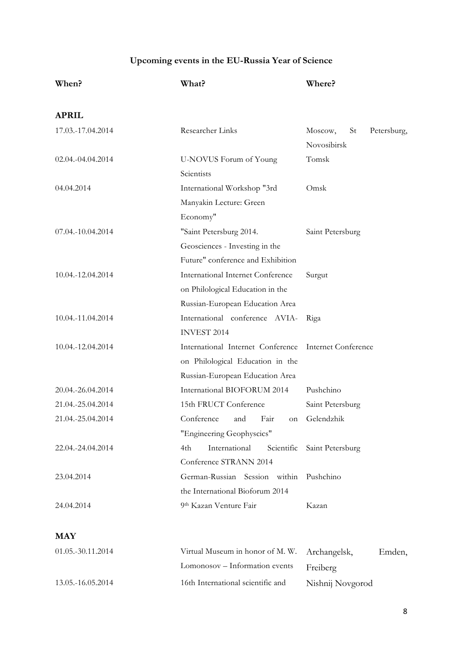### **Upcoming events in the EU-Russia Year of Science**

| When?             | What?                                      | Where?                                      |
|-------------------|--------------------------------------------|---------------------------------------------|
| <b>APRIL</b>      |                                            |                                             |
| 17.03.-17.04.2014 | Researcher Links                           | Moscow,<br>St<br>Petersburg,<br>Novosibirsk |
| 02.04.-04.04.2014 | U-NOVUS Forum of Young                     | Tomsk                                       |
|                   | Scientists                                 |                                             |
| 04.04.2014        | International Workshop "3rd                | Omsk                                        |
|                   | Manyakin Lecture: Green                    |                                             |
|                   | Economy"                                   |                                             |
| 07.04.-10.04.2014 | "Saint Petersburg 2014.                    | Saint Petersburg                            |
|                   | Geosciences - Investing in the             |                                             |
|                   | Future" conference and Exhibition          |                                             |
| 10.04.-12.04.2014 | International Internet Conference          | Surgut                                      |
|                   | on Philological Education in the           |                                             |
|                   | Russian-European Education Area            |                                             |
| 10.04.-11.04.2014 | International conference AVIA-             | Riga                                        |
|                   | <b>INVEST 2014</b>                         |                                             |
| 10.04.-12.04.2014 | International Internet Conference          | <b>Internet Conference</b>                  |
|                   | on Philological Education in the           |                                             |
|                   | Russian-European Education Area            |                                             |
| 20.04.-26.04.2014 | International BIOFORUM 2014                | Pushchino                                   |
| 21.04.-25.04.2014 | 15th FRUCT Conference                      | Saint Petersburg                            |
| 21.04.-25.04.2014 | Conference<br>Fair<br>and<br><sub>on</sub> | Gelendzhik                                  |
|                   | "Engineering Geophyscics"                  |                                             |
| 22.04.-24.04.2014 | International<br>4th<br>Scientific         | Saint Petersburg                            |
|                   | Conference STRANN 2014                     |                                             |
| 23.04.2014        | German-Russian Session within Pushchino    |                                             |
|                   | the International Bioforum 2014            |                                             |
| 24.04.2014        | 9th Kazan Venture Fair                     | Kazan                                       |
| <b>MAY</b>        |                                            |                                             |

| 01.05.-30.11.2014 | Virtual Museum in honor of M. W.  | Archangelsk,     | Emden, |
|-------------------|-----------------------------------|------------------|--------|
|                   | Lomonosov – Information events    | Freiberg         |        |
| 13.05.-16.05.2014 | 16th International scientific and | Nishnij Novgorod |        |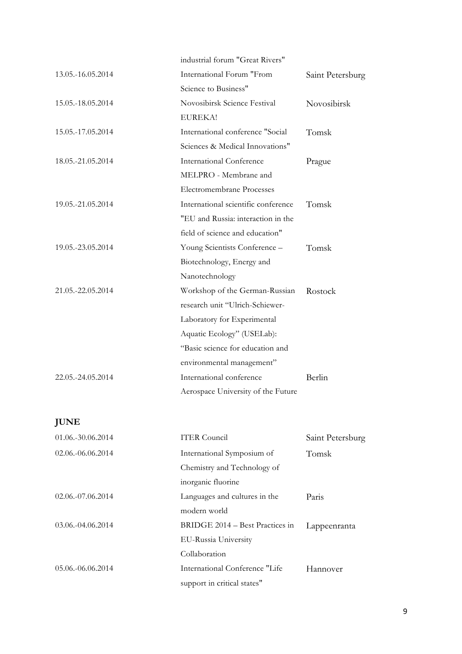|                   | industrial forum "Great Rivers"     |                  |
|-------------------|-------------------------------------|------------------|
| 13.05.-16.05.2014 | International Forum "From           | Saint Petersburg |
|                   | Science to Business"                |                  |
| 15.05.-18.05.2014 | Novosibirsk Science Festival        | Novosibirsk      |
|                   | EUREKA!                             |                  |
| 15.05.-17.05.2014 | International conference "Social    | Tomsk            |
|                   | Sciences & Medical Innovations"     |                  |
| 18.05.-21.05.2014 | <b>International Conference</b>     | Prague           |
|                   | MELPRO - Membrane and               |                  |
|                   | Electromembrane Processes           |                  |
| 19.05.-21.05.2014 | International scientific conference | Tomsk            |
|                   | "EU and Russia: interaction in the  |                  |
|                   | field of science and education"     |                  |
| 19.05.-23.05.2014 | Young Scientists Conference -       | Tomsk            |
|                   | Biotechnology, Energy and           |                  |
|                   | Nanotechnology                      |                  |
| 21.05.-22.05.2014 | Workshop of the German-Russian      | Rostock          |
|                   | research unit "Ulrich-Schiewer-     |                  |
|                   | Laboratory for Experimental         |                  |
|                   | Aquatic Ecology" (USELab):          |                  |
|                   | "Basic science for education and    |                  |
|                   | environmental management"           |                  |
| 22.05.-24.05.2014 | International conference            | Berlin           |
|                   | Aerospace University of the Future  |                  |
| <b>JUNE</b>       |                                     |                  |
| 01.06.-30.06.2014 | <b>ITER Council</b>                 | Saint Petersburg |
| 02.06.-06.06.2014 | International Symposium of          | Tomsk            |
|                   | Chemistry and Technology of         |                  |
|                   | inorganic fluorine                  |                  |
| 02.06.-07.06.2014 | Languages and cultures in the       | Paris            |
|                   | modern world                        |                  |
| 03.06.-04.06.2014 | BRIDGE 2014 - Best Practices in     | Lappeenranta     |
|                   | EU-Russia University                |                  |
|                   | Collaboration                       |                  |
| 05.06.-06.06.2014 | International Conference "Life      | Hannover         |
|                   | support in critical states"         |                  |